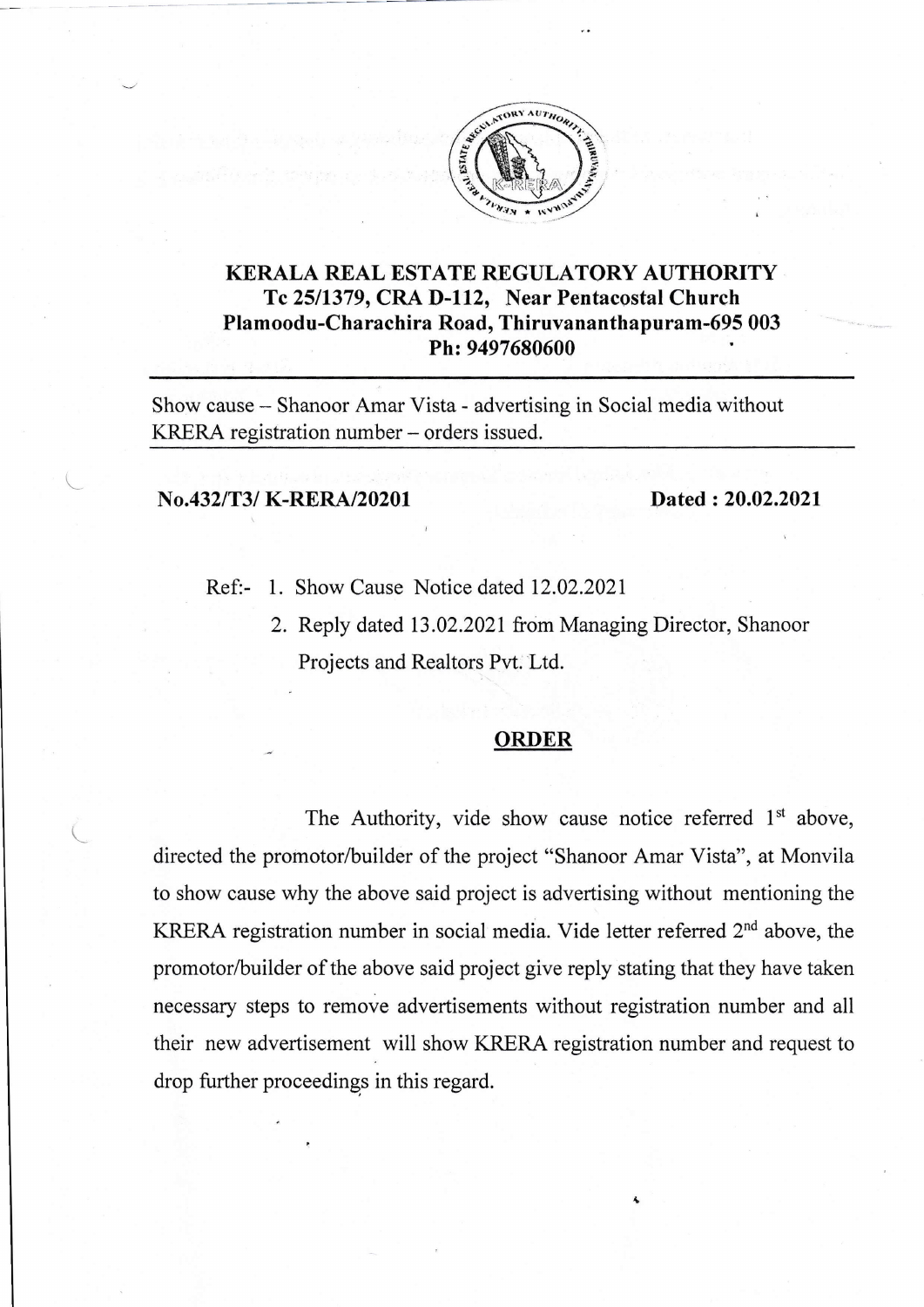

## KERALA REAL ESTATE REGULATORY AUTHORITY Tc 2511379, CRA D-112, Near Pentacostal Church Plamoodu-Charachira Road, Thiruvananthapuram-695 003 Ph: 9497680600

Show cause - Shanoor Amar Vista - advertising in Social media without KRERA registration number - orders issued.

## No.432/T3/ K-RERA/20201 Dated : 20.02.2021

L

 $\bigcup$ 

- Ref:- 1. Show Cause Notice dated 12.02.2021
	- 2. Reply dated 13.02.2021 from Managing Director, Shanoor Projects and Realtors Pvt. Ltd.

## ORDER

The Authority, vide show cause notice referred  $1<sup>st</sup>$  above, directed the promotor/builder of the project "Shanoor Amar Vista", at Monvila to show cause why the above said project is advertising without mentioning the KRERA registration number in social media. Vide letter referred 2<sup>nd</sup> above, the promotor/builder of the above said project give reply stating that they have taken necessary steps to remove advertisements without registration number and all their new advertisement will show KRERA registration number and request to drop further proceedings in this regard.

&